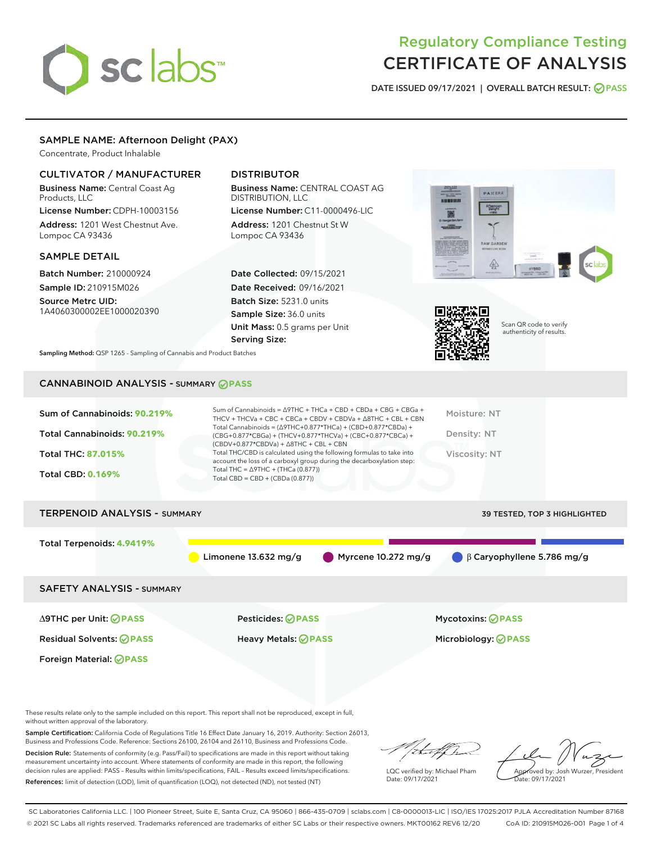# sclabs<sup>\*</sup>

# Regulatory Compliance Testing CERTIFICATE OF ANALYSIS

DATE ISSUED 09/17/2021 | OVERALL BATCH RESULT: @ PASS

# SAMPLE NAME: Afternoon Delight (PAX)

Concentrate, Product Inhalable

# CULTIVATOR / MANUFACTURER

Business Name: Central Coast Ag Products, LLC

License Number: CDPH-10003156 Address: 1201 West Chestnut Ave. Lompoc CA 93436

# SAMPLE DETAIL

Batch Number: 210000924 Sample ID: 210915M026

Source Metrc UID: 1A4060300002EE1000020390

# DISTRIBUTOR

Business Name: CENTRAL COAST AG DISTRIBUTION, LLC License Number: C11-0000496-LIC

Address: 1201 Chestnut St W Lompoc CA 93436

Date Collected: 09/15/2021 Date Received: 09/16/2021 Batch Size: 5231.0 units Sample Size: 36.0 units Unit Mass: 0.5 grams per Unit Serving Size:





Scan QR code to verify authenticity of results.

Sampling Method: QSP 1265 - Sampling of Cannabis and Product Batches

# CANNABINOID ANALYSIS - SUMMARY **PASS**

| Sum of Cannabinoids: 90.219%<br>Total Cannabinoids: 90.219%<br><b>Total THC: 87.015%</b><br><b>Total CBD: 0.169%</b> | Sum of Cannabinoids = Δ9THC + THCa + CBD + CBDa + CBG + CBGa +<br>THCV + THCVa + CBC + CBCa + CBDV + CBDVa + $\Delta$ 8THC + CBL + CBN<br>Total Cannabinoids = ( $\triangle$ 9THC+0.877*THCa) + (CBD+0.877*CBDa) +<br>(CBG+0.877*CBGa) + (THCV+0.877*THCVa) + (CBC+0.877*CBCa) +<br>(CBDV+0.877*CBDVa) + $\triangle$ 8THC + CBL + CBN<br>Total THC/CBD is calculated using the following formulas to take into<br>account the loss of a carboxyl group during the decarboxylation step:<br>Total THC = $\triangle$ 9THC + (THCa (0.877))<br>Total CBD = CBD + (CBDa (0.877)) | Moisture: NT<br>Density: NT<br>Viscosity: NT |
|----------------------------------------------------------------------------------------------------------------------|------------------------------------------------------------------------------------------------------------------------------------------------------------------------------------------------------------------------------------------------------------------------------------------------------------------------------------------------------------------------------------------------------------------------------------------------------------------------------------------------------------------------------------------------------------------------------|----------------------------------------------|
| <b>TERPENOID ANALYSIS - SUMMARY</b>                                                                                  |                                                                                                                                                                                                                                                                                                                                                                                                                                                                                                                                                                              | <b>39 TESTED, TOP 3 HIGHLIGHTED</b>          |
| Total Terpenoids: 4.9419%                                                                                            |                                                                                                                                                                                                                                                                                                                                                                                                                                                                                                                                                                              |                                              |
|                                                                                                                      | Myrcene $10.272$ mg/g<br>Limonene $13.632$ mg/g                                                                                                                                                                                                                                                                                                                                                                                                                                                                                                                              | $\beta$ Caryophyllene 5.786 mg/g             |
| <b>SAFETY ANALYSIS - SUMMARY</b>                                                                                     |                                                                                                                                                                                                                                                                                                                                                                                                                                                                                                                                                                              |                                              |
| ∆9THC per Unit: ⊘PASS                                                                                                | Pesticides: ⊘PASS                                                                                                                                                                                                                                                                                                                                                                                                                                                                                                                                                            | <b>Mycotoxins: ⊘PASS</b>                     |
| <b>Residual Solvents: ⊘PASS</b>                                                                                      | Heavy Metals: <b>OPASS</b>                                                                                                                                                                                                                                                                                                                                                                                                                                                                                                                                                   | Microbiology: <b>⊘PASS</b>                   |
| Foreign Material: ⊘PASS                                                                                              |                                                                                                                                                                                                                                                                                                                                                                                                                                                                                                                                                                              |                                              |

These results relate only to the sample included on this report. This report shall not be reproduced, except in full, without written approval of the laboratory.

Sample Certification: California Code of Regulations Title 16 Effect Date January 16, 2019. Authority: Section 26013, Business and Professions Code. Reference: Sections 26100, 26104 and 26110, Business and Professions Code.

Decision Rule: Statements of conformity (e.g. Pass/Fail) to specifications are made in this report without taking measurement uncertainty into account. Where statements of conformity are made in this report, the following decision rules are applied: PASS – Results within limits/specifications, FAIL – Results exceed limits/specifications. References: limit of detection (LOD), limit of quantification (LOQ), not detected (ND), not tested (NT)

/duffh

LQC verified by: Michael Pham Date: 09/17/2021

Approved by: Josh Wurzer, President ate: 09/17/2021

SC Laboratories California LLC. | 100 Pioneer Street, Suite E, Santa Cruz, CA 95060 | 866-435-0709 | sclabs.com | C8-0000013-LIC | ISO/IES 17025:2017 PJLA Accreditation Number 87168 © 2021 SC Labs all rights reserved. Trademarks referenced are trademarks of either SC Labs or their respective owners. MKT00162 REV6 12/20 CoA ID: 210915M026-001 Page 1 of 4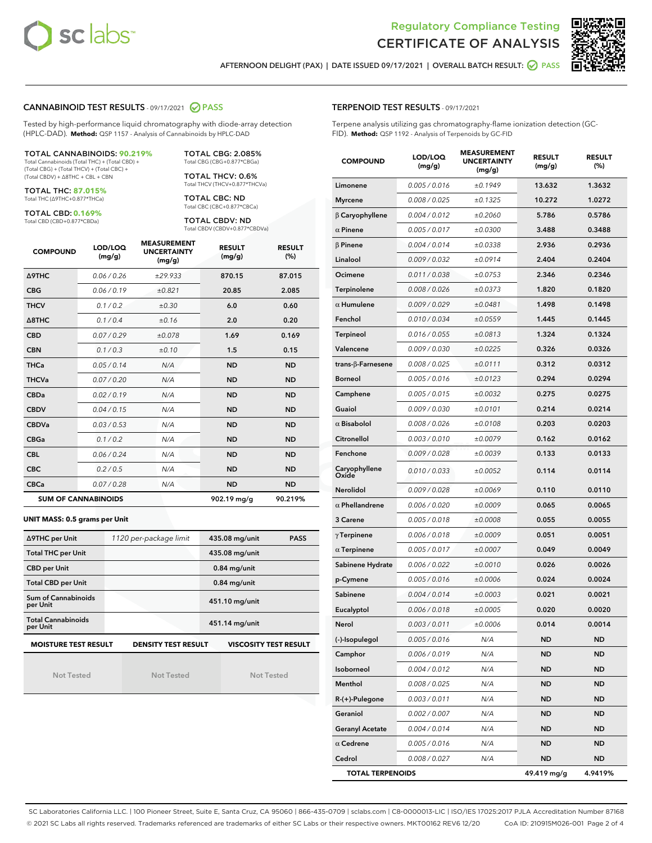



AFTERNOON DELIGHT (PAX) | DATE ISSUED 09/17/2021 | OVERALL BATCH RESULT: 2 PASS

### CANNABINOID TEST RESULTS - 09/17/2021 2 PASS

Tested by high-performance liquid chromatography with diode-array detection (HPLC-DAD). **Method:** QSP 1157 - Analysis of Cannabinoids by HPLC-DAD

#### TOTAL CANNABINOIDS: **90.219%**

Total Cannabinoids (Total THC) + (Total CBD) + (Total CBG) + (Total THCV) + (Total CBC) + (Total CBDV) + ∆8THC + CBL + CBN

TOTAL THC: **87.015%** Total THC (∆9THC+0.877\*THCa)

TOTAL CBD: **0.169%**

Total CBD (CBD+0.877\*CBDa)

TOTAL CBG: 2.085% Total CBG (CBG+0.877\*CBGa)

TOTAL THCV: 0.6% Total THCV (THCV+0.877\*THCVa)

TOTAL CBC: ND Total CBC (CBC+0.877\*CBCa)

TOTAL CBDV: ND Total CBDV (CBDV+0.877\*CBDVa)

| <b>COMPOUND</b>            | LOD/LOQ<br>(mg/g) | <b>MEASUREMENT</b><br><b>UNCERTAINTY</b><br>(mg/g) | <b>RESULT</b><br>(mg/g) | <b>RESULT</b><br>(%) |
|----------------------------|-------------------|----------------------------------------------------|-------------------------|----------------------|
| <b>A9THC</b>               | 0.06/0.26         | ±29.933                                            | 870.15                  | 87.015               |
| <b>CBG</b>                 | 0.06/0.19         | ±0.821                                             | 20.85                   | 2.085                |
| <b>THCV</b>                | 0.1/0.2           | ±0.30                                              | 6.0                     | 0.60                 |
| $\triangle$ 8THC           | 0.1/0.4           | ±0.16                                              | 2.0                     | 0.20                 |
| <b>CBD</b>                 | 0.07/0.29         | ±0.078                                             | 1.69                    | 0.169                |
| <b>CBN</b>                 | 0.1/0.3           | ±0.10                                              | 1.5                     | 0.15                 |
| <b>THCa</b>                | 0.05/0.14         | N/A                                                | <b>ND</b>               | <b>ND</b>            |
| <b>THCVa</b>               | 0.07/0.20         | N/A                                                | <b>ND</b>               | <b>ND</b>            |
| <b>CBDa</b>                | 0.02/0.19         | N/A                                                | <b>ND</b>               | <b>ND</b>            |
| <b>CBDV</b>                | 0.04 / 0.15       | N/A                                                | <b>ND</b>               | <b>ND</b>            |
| <b>CBDVa</b>               | 0.03/0.53         | N/A                                                | <b>ND</b>               | <b>ND</b>            |
| <b>CBGa</b>                | 0.1/0.2           | N/A                                                | <b>ND</b>               | <b>ND</b>            |
| <b>CBL</b>                 | 0.06 / 0.24       | N/A                                                | <b>ND</b>               | <b>ND</b>            |
| <b>CBC</b>                 | 0.2 / 0.5         | N/A                                                | <b>ND</b>               | <b>ND</b>            |
| <b>CBCa</b>                | 0.07/0.28         | N/A                                                | <b>ND</b>               | <b>ND</b>            |
| <b>SUM OF CANNABINOIDS</b> |                   |                                                    | 902.19 mg/g             | 90.219%              |

#### **UNIT MASS: 0.5 grams per Unit**

| ∆9THC per Unit                        | 1120 per-package limit     | 435.08 mg/unit<br><b>PASS</b> |
|---------------------------------------|----------------------------|-------------------------------|
| <b>Total THC per Unit</b>             |                            | 435.08 mg/unit                |
| <b>CBD per Unit</b>                   |                            | $0.84$ mg/unit                |
| <b>Total CBD per Unit</b>             |                            | $0.84$ mg/unit                |
| Sum of Cannabinoids<br>per Unit       |                            | 451.10 mg/unit                |
| <b>Total Cannabinoids</b><br>per Unit |                            | 451.14 mg/unit                |
| <b>MOISTURE TEST RESULT</b>           | <b>DENSITY TEST RESULT</b> | <b>VISCOSITY TEST RESULT</b>  |

Not Tested

Not Tested

Not Tested

#### TERPENOID TEST RESULTS - 09/17/2021

Terpene analysis utilizing gas chromatography-flame ionization detection (GC-FID). **Method:** QSP 1192 - Analysis of Terpenoids by GC-FID

| <b>COMPOUND</b>         | LOD/LOQ<br>(mg/g) | <b>MEASUREMENT</b><br><b>UNCERTAINTY</b><br>(mg/g) | <b>RESULT</b><br>(mg/g) | <b>RESULT</b><br>$(\%)$ |
|-------------------------|-------------------|----------------------------------------------------|-------------------------|-------------------------|
| Limonene                | 0.005 / 0.016     | ±0.1949                                            | 13.632                  | 1.3632                  |
| <b>Myrcene</b>          | 0.008 / 0.025     | ±0.1325                                            | 10.272                  | 1.0272                  |
| $\beta$ Caryophyllene   | 0.004 / 0.012     | ±0.2060                                            | 5.786                   | 0.5786                  |
| $\alpha$ Pinene         | 0.005 / 0.017     | ±0.0300                                            | 3.488                   | 0.3488                  |
| $\beta$ Pinene          | 0.004 / 0.014     | ±0.0338                                            | 2.936                   | 0.2936                  |
| Linalool                | 0.009/0.032       | ±0.0914                                            | 2.404                   | 0.2404                  |
| Ocimene                 | 0.011 / 0.038     | ±0.0753                                            | 2.346                   | 0.2346                  |
| <b>Terpinolene</b>      | 0.008 / 0.026     | ±0.0373                                            | 1.820                   | 0.1820                  |
| $\alpha$ Humulene       | 0.009/0.029       | ±0.0481                                            | 1.498                   | 0.1498                  |
| Fenchol                 | 0.010 / 0.034     | ±0.0559                                            | 1.445                   | 0.1445                  |
| Terpineol               | 0.016 / 0.055     | ±0.0813                                            | 1.324                   | 0.1324                  |
| Valencene               | 0.009 / 0.030     | ±0.0225                                            | 0.326                   | 0.0326                  |
| trans-β-Farnesene       | 0.008 / 0.025     | ±0.0111                                            | 0.312                   | 0.0312                  |
| <b>Borneol</b>          | 0.005 / 0.016     | ±0.0123                                            | 0.294                   | 0.0294                  |
| Camphene                | 0.005 / 0.015     | ±0.0032                                            | 0.275                   | 0.0275                  |
| Guaiol                  | 0.009 / 0.030     | ±0.0101                                            | 0.214                   | 0.0214                  |
| $\alpha$ Bisabolol      | 0.008 / 0.026     | ±0.0108                                            | 0.203                   | 0.0203                  |
| Citronellol             | 0.003 / 0.010     | ±0.0079                                            | 0.162                   | 0.0162                  |
| Fenchone                | 0.009 / 0.028     | ±0.0039                                            | 0.133                   | 0.0133                  |
| Caryophyllene<br>Oxide  | 0.010 / 0.033     | ±0.0052                                            | 0.114                   | 0.0114                  |
| <b>Nerolidol</b>        | 0.009 / 0.028     | ±0.0069                                            | 0.110                   | 0.0110                  |
| $\alpha$ Phellandrene   | 0.006 / 0.020     | ±0.0009                                            | 0.065                   | 0.0065                  |
| 3 Carene                | 0.005 / 0.018     | ±0.0008                                            | 0.055                   | 0.0055                  |
| $\gamma$ Terpinene      | 0.006 / 0.018     | ±0.0009                                            | 0.051                   | 0.0051                  |
| $\alpha$ Terpinene      | 0.005 / 0.017     | ±0.0007                                            | 0.049                   | 0.0049                  |
| Sabinene Hydrate        | 0.006 / 0.022     | ±0.0010                                            | 0.026                   | 0.0026                  |
| p-Cymene                | 0.005 / 0.016     | ±0.0006                                            | 0.024                   | 0.0024                  |
| Sabinene                | 0.004 / 0.014     | ±0.0003                                            | 0.021                   | 0.0021                  |
| Eucalyptol              | 0.006 / 0.018     | ±0.0005                                            | 0.020                   | 0.0020                  |
| Nerol                   | 0.003 / 0.011     | ±0.0006                                            | 0.014                   | 0.0014                  |
| (-)-Isopulegol          | 0.005 / 0.016     | N/A                                                | ND                      | ND                      |
| Camphor                 | 0.006 / 0.019     | N/A                                                | ND                      | ND                      |
| Isoborneol              | 0.004 / 0.012     | N/A                                                | ND                      | <b>ND</b>               |
| Menthol                 | 0.008 / 0.025     | N/A                                                | ND                      | ND                      |
| R-(+)-Pulegone          | 0.003 / 0.011     | N/A                                                | ND                      | ND                      |
| Geraniol                | 0.002 / 0.007     | N/A                                                | ND                      | ND                      |
| <b>Geranyl Acetate</b>  | 0.004 / 0.014     | N/A                                                | ND                      | ND                      |
| $\alpha$ Cedrene        | 0.005 / 0.016     | N/A                                                | ND                      | ND                      |
| Cedrol                  | 0.008 / 0.027     | N/A                                                | ND                      | <b>ND</b>               |
| <b>TOTAL TERPENOIDS</b> |                   |                                                    | 49.419 mg/g             | 4.9419%                 |

SC Laboratories California LLC. | 100 Pioneer Street, Suite E, Santa Cruz, CA 95060 | 866-435-0709 | sclabs.com | C8-0000013-LIC | ISO/IES 17025:2017 PJLA Accreditation Number 87168 © 2021 SC Labs all rights reserved. Trademarks referenced are trademarks of either SC Labs or their respective owners. MKT00162 REV6 12/20 CoA ID: 210915M026-001 Page 2 of 4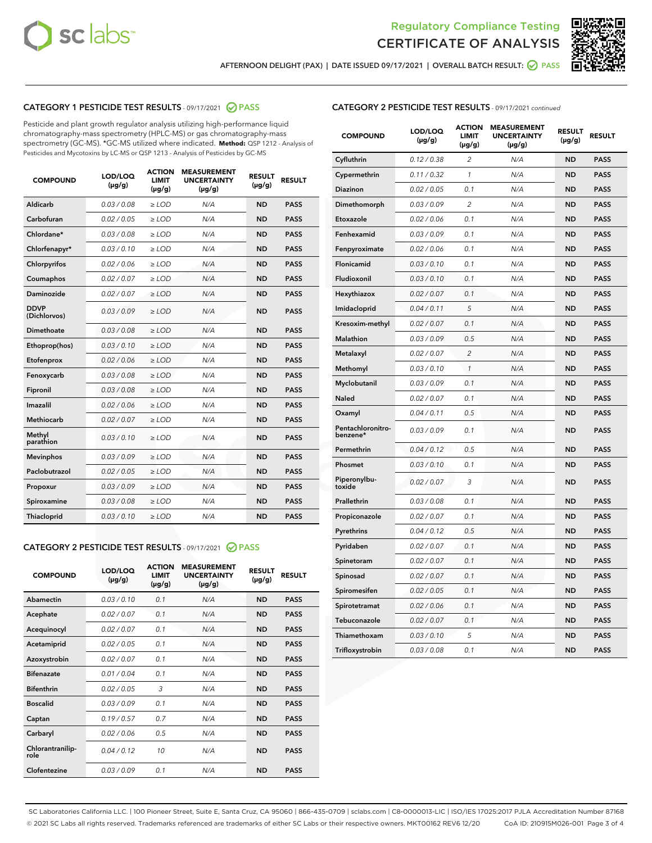



AFTERNOON DELIGHT (PAX) | DATE ISSUED 09/17/2021 | OVERALL BATCH RESULT: **⊘** PASS

# CATEGORY 1 PESTICIDE TEST RESULTS - 09/17/2021 @ PASS

Pesticide and plant growth regulator analysis utilizing high-performance liquid chromatography-mass spectrometry (HPLC-MS) or gas chromatography-mass spectrometry (GC-MS). \*GC-MS utilized where indicated. **Method:** QSP 1212 - Analysis of Pesticides and Mycotoxins by LC-MS or QSP 1213 - Analysis of Pesticides by GC-MS

| <b>COMPOUND</b>             | LOD/LOQ<br>$(\mu g/g)$ | <b>ACTION</b><br><b>LIMIT</b><br>$(\mu g/g)$ | <b>MEASUREMENT</b><br><b>UNCERTAINTY</b><br>$(\mu g/g)$ | <b>RESULT</b><br>$(\mu g/g)$ | <b>RESULT</b> |
|-----------------------------|------------------------|----------------------------------------------|---------------------------------------------------------|------------------------------|---------------|
| Aldicarb                    | 0.03 / 0.08            | $\ge$ LOD                                    | N/A                                                     | <b>ND</b>                    | <b>PASS</b>   |
| Carbofuran                  | 0.02/0.05              | $>$ LOD                                      | N/A                                                     | <b>ND</b>                    | <b>PASS</b>   |
| Chlordane*                  | 0.03 / 0.08            | $\ge$ LOD                                    | N/A                                                     | <b>ND</b>                    | <b>PASS</b>   |
| Chlorfenapyr*               | 0.03/0.10              | $>$ LOD                                      | N/A                                                     | <b>ND</b>                    | <b>PASS</b>   |
| Chlorpyrifos                | 0.02 / 0.06            | $\ge$ LOD                                    | N/A                                                     | <b>ND</b>                    | <b>PASS</b>   |
| Coumaphos                   | 0.02 / 0.07            | $\ge$ LOD                                    | N/A                                                     | <b>ND</b>                    | <b>PASS</b>   |
| Daminozide                  | 0.02 / 0.07            | $\ge$ LOD                                    | N/A                                                     | <b>ND</b>                    | <b>PASS</b>   |
| <b>DDVP</b><br>(Dichlorvos) | 0.03/0.09              | $\ge$ LOD                                    | N/A                                                     | <b>ND</b>                    | <b>PASS</b>   |
| Dimethoate                  | 0.03/0.08              | $>$ LOD                                      | N/A                                                     | <b>ND</b>                    | <b>PASS</b>   |
| Ethoprop(hos)               | 0.03/0.10              | $\ge$ LOD                                    | N/A                                                     | <b>ND</b>                    | <b>PASS</b>   |
| Etofenprox                  | 0.02 / 0.06            | $\ge$ LOD                                    | N/A                                                     | <b>ND</b>                    | <b>PASS</b>   |
| Fenoxycarb                  | 0.03 / 0.08            | $\ge$ LOD                                    | N/A                                                     | <b>ND</b>                    | <b>PASS</b>   |
| Fipronil                    | 0.03/0.08              | $>$ LOD                                      | N/A                                                     | <b>ND</b>                    | <b>PASS</b>   |
| Imazalil                    | 0.02 / 0.06            | $\ge$ LOD                                    | N/A                                                     | <b>ND</b>                    | <b>PASS</b>   |
| <b>Methiocarb</b>           | 0.02 / 0.07            | $\ge$ LOD                                    | N/A                                                     | <b>ND</b>                    | <b>PASS</b>   |
| Methyl<br>parathion         | 0.03/0.10              | $\ge$ LOD                                    | N/A                                                     | <b>ND</b>                    | <b>PASS</b>   |
| <b>Mevinphos</b>            | 0.03/0.09              | $>$ LOD                                      | N/A                                                     | <b>ND</b>                    | <b>PASS</b>   |
| Paclobutrazol               | 0.02 / 0.05            | $\ge$ LOD                                    | N/A                                                     | <b>ND</b>                    | <b>PASS</b>   |
| Propoxur                    | 0.03/0.09              | $\ge$ LOD                                    | N/A                                                     | <b>ND</b>                    | <b>PASS</b>   |
| Spiroxamine                 | 0.03 / 0.08            | $\ge$ LOD                                    | N/A                                                     | <b>ND</b>                    | <b>PASS</b>   |
| Thiacloprid                 | 0.03/0.10              | $\ge$ LOD                                    | N/A                                                     | <b>ND</b>                    | <b>PASS</b>   |

#### CATEGORY 2 PESTICIDE TEST RESULTS - 09/17/2021 @ PASS

| <b>COMPOUND</b>          | LOD/LOO<br>$(\mu g/g)$ | <b>ACTION</b><br>LIMIT<br>$(\mu g/g)$ | <b>MEASUREMENT</b><br><b>UNCERTAINTY</b><br>$(\mu g/g)$ | <b>RESULT</b><br>$(\mu g/g)$ | <b>RESULT</b> |  |
|--------------------------|------------------------|---------------------------------------|---------------------------------------------------------|------------------------------|---------------|--|
| Abamectin                | 0.03/0.10              | 0.1                                   | N/A                                                     | <b>ND</b>                    | <b>PASS</b>   |  |
| Acephate                 | 0.02/0.07              | 0.1                                   | N/A                                                     | <b>ND</b>                    | <b>PASS</b>   |  |
| Acequinocyl              | 0.02/0.07              | 0.1                                   | N/A                                                     | <b>ND</b>                    | <b>PASS</b>   |  |
| Acetamiprid              | 0.02 / 0.05            | 0.1                                   | N/A                                                     | <b>ND</b>                    | <b>PASS</b>   |  |
| Azoxystrobin             | 0.02/0.07              | 0.1                                   | N/A                                                     | <b>ND</b>                    | <b>PASS</b>   |  |
| <b>Bifenazate</b>        | 0.01 / 0.04            | 0.1                                   | N/A                                                     | <b>ND</b>                    | <b>PASS</b>   |  |
| <b>Bifenthrin</b>        | 0.02/0.05              | 3                                     | N/A                                                     | <b>ND</b>                    | <b>PASS</b>   |  |
| <b>Boscalid</b>          | 0.03/0.09              | 0.1                                   | N/A                                                     | <b>ND</b>                    | <b>PASS</b>   |  |
| Captan                   | 0.19/0.57              | 0.7                                   | N/A                                                     | <b>ND</b>                    | <b>PASS</b>   |  |
| Carbaryl                 | 0.02/0.06              | 0.5                                   | N/A                                                     | <b>ND</b>                    | <b>PASS</b>   |  |
| Chlorantranilip-<br>role | 0.04/0.12              | 10                                    | N/A                                                     | <b>ND</b>                    | <b>PASS</b>   |  |
| Clofentezine             | 0.03/0.09              | 0.1                                   | N/A                                                     | <b>ND</b>                    | <b>PASS</b>   |  |

# CATEGORY 2 PESTICIDE TEST RESULTS - 09/17/2021 continued

| <b>COMPOUND</b>               | LOD/LOQ<br>(µg/g) | <b>ACTION</b><br><b>LIMIT</b><br>$(\mu g/g)$ | <b>MEASUREMENT</b><br><b>UNCERTAINTY</b><br>$(\mu g/g)$ | <b>RESULT</b><br>(µg/g) | <b>RESULT</b> |
|-------------------------------|-------------------|----------------------------------------------|---------------------------------------------------------|-------------------------|---------------|
| Cyfluthrin                    | 0.12 / 0.38       | $\overline{c}$                               | N/A                                                     | <b>ND</b>               | <b>PASS</b>   |
| Cypermethrin                  | 0.11 / 0.32       | 1                                            | N/A                                                     | ND                      | <b>PASS</b>   |
| <b>Diazinon</b>               | 0.02 / 0.05       | 0.1                                          | N/A                                                     | ND                      | <b>PASS</b>   |
| Dimethomorph                  | 0.03 / 0.09       | 2                                            | N/A                                                     | ND                      | PASS          |
| Etoxazole                     | 0.02 / 0.06       | 0.1                                          | N/A                                                     | ND                      | <b>PASS</b>   |
| Fenhexamid                    | 0.03 / 0.09       | 0.1                                          | N/A                                                     | <b>ND</b>               | <b>PASS</b>   |
| Fenpyroximate                 | 0.02 / 0.06       | 0.1                                          | N/A                                                     | ND                      | <b>PASS</b>   |
| Flonicamid                    | 0.03 / 0.10       | 0.1                                          | N/A                                                     | ND                      | <b>PASS</b>   |
| Fludioxonil                   | 0.03 / 0.10       | 0.1                                          | N/A                                                     | <b>ND</b>               | <b>PASS</b>   |
| Hexythiazox                   | 0.02 / 0.07       | 0.1                                          | N/A                                                     | <b>ND</b>               | <b>PASS</b>   |
| Imidacloprid                  | 0.04 / 0.11       | 5                                            | N/A                                                     | ND                      | <b>PASS</b>   |
| Kresoxim-methyl               | 0.02 / 0.07       | 0.1                                          | N/A                                                     | <b>ND</b>               | <b>PASS</b>   |
| <b>Malathion</b>              | 0.03 / 0.09       | 0.5                                          | N/A                                                     | <b>ND</b>               | <b>PASS</b>   |
| Metalaxyl                     | 0.02 / 0.07       | $\overline{c}$                               | N/A                                                     | ND                      | <b>PASS</b>   |
| Methomyl                      | 0.03 / 0.10       | 1                                            | N/A                                                     | <b>ND</b>               | <b>PASS</b>   |
| Myclobutanil                  | 0.03 / 0.09       | 0.1                                          | N/A                                                     | ND                      | <b>PASS</b>   |
| Naled                         | 0.02 / 0.07       | 0.1                                          | N/A                                                     | ND                      | <b>PASS</b>   |
| Oxamyl                        | 0.04 / 0.11       | 0.5                                          | N/A                                                     | ND                      | PASS          |
| Pentachloronitro-<br>benzene* | 0.03 / 0.09       | 0.1                                          | N/A                                                     | ND                      | <b>PASS</b>   |
| Permethrin                    | 0.04 / 0.12       | 0.5                                          | N/A                                                     | ND                      | <b>PASS</b>   |
| Phosmet                       | 0.03 / 0.10       | 0.1                                          | N/A                                                     | <b>ND</b>               | <b>PASS</b>   |
| Piperonylbu-<br>toxide        | 0.02 / 0.07       | 3                                            | N/A                                                     | ND                      | <b>PASS</b>   |
| Prallethrin                   | 0.03 / 0.08       | 0.1                                          | N/A                                                     | <b>ND</b>               | <b>PASS</b>   |
| Propiconazole                 | 0.02 / 0.07       | 0.1                                          | N/A                                                     | ND                      | <b>PASS</b>   |
| Pyrethrins                    | 0.04 / 0.12       | 0.5                                          | N/A                                                     | ND                      | <b>PASS</b>   |
| Pyridaben                     | 0.02 / 0.07       | 0.1                                          | N/A                                                     | ND                      | <b>PASS</b>   |
| Spinetoram                    | 0.02 / 0.07       | 0.1                                          | N/A                                                     | <b>ND</b>               | PASS          |
| Spinosad                      | 0.02 / 0.07       | 0.1                                          | N/A                                                     | ND                      | <b>PASS</b>   |
| Spiromesifen                  | 0.02 / 0.05       | 0.1                                          | N/A                                                     | <b>ND</b>               | <b>PASS</b>   |
| Spirotetramat                 | 0.02 / 0.06       | 0.1                                          | N/A                                                     | ND                      | <b>PASS</b>   |
| Tebuconazole                  | 0.02 / 0.07       | 0.1                                          | N/A                                                     | ND                      | <b>PASS</b>   |
| Thiamethoxam                  | 0.03 / 0.10       | 5                                            | N/A                                                     | <b>ND</b>               | <b>PASS</b>   |
| Trifloxystrobin               | 0.03 / 0.08       | 0.1                                          | N/A                                                     | <b>ND</b>               | <b>PASS</b>   |

SC Laboratories California LLC. | 100 Pioneer Street, Suite E, Santa Cruz, CA 95060 | 866-435-0709 | sclabs.com | C8-0000013-LIC | ISO/IES 17025:2017 PJLA Accreditation Number 87168 © 2021 SC Labs all rights reserved. Trademarks referenced are trademarks of either SC Labs or their respective owners. MKT00162 REV6 12/20 CoA ID: 210915M026-001 Page 3 of 4